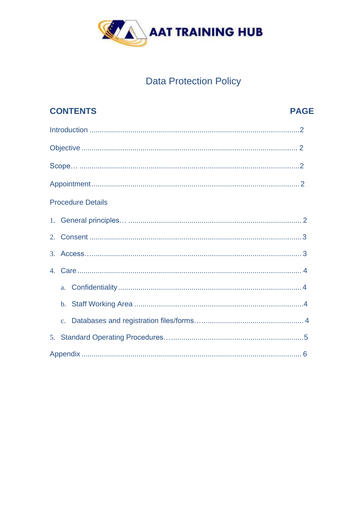

# **Data Protection Policy**

|    |  | <b>CONTENTS</b>          | <b>PAGE</b> |  |
|----|--|--------------------------|-------------|--|
|    |  |                          |             |  |
|    |  |                          |             |  |
|    |  |                          |             |  |
|    |  |                          |             |  |
|    |  | <b>Procedure Details</b> |             |  |
|    |  |                          |             |  |
|    |  |                          |             |  |
|    |  |                          |             |  |
|    |  |                          |             |  |
|    |  |                          |             |  |
|    |  |                          |             |  |
|    |  |                          |             |  |
| 5. |  |                          |             |  |
|    |  |                          |             |  |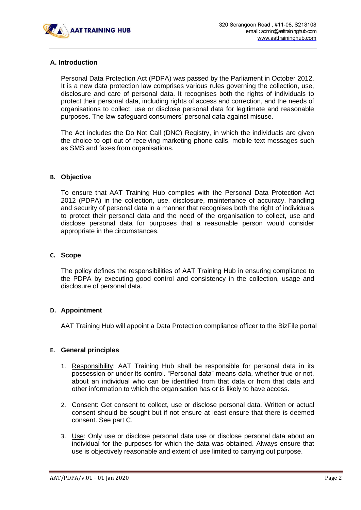

# **A. Introduction**

Personal Data Protection Act (PDPA) was passed by the Parliament in October 2012. It is a new data protection law comprises various rules governing the collection, use, disclosure and care of personal data. It recognises both the rights of individuals to protect their personal data, including rights of access and correction, and the needs of organisations to collect, use or disclose personal data for legitimate and reasonable purposes. The law safeguard consumers' personal data against misuse.

The Act includes the Do Not Call (DNC) Registry, in which the individuals are given the choice to opt out of receiving marketing phone calls, mobile text messages such as SMS and faxes from organisations.

#### **B. Objective**

To ensure that AAT Training Hub complies with the Personal Data Protection Act 2012 (PDPA) in the collection, use, disclosure, maintenance of accuracy, handling and security of personal data in a manner that recognises both the right of individuals to protect their personal data and the need of the organisation to collect, use and disclose personal data for purposes that a reasonable person would consider appropriate in the circumstances.

#### **C. Scope**

The policy defines the responsibilities of AAT Training Hub in ensuring compliance to the PDPA by executing good control and consistency in the collection, usage and disclosure of personal data.

#### **D. Appointment**

AAT Training Hub will appoint a Data Protection compliance officer to the BizFile portal

#### **E. General principles**

- 1. Responsibility: AAT Training Hub shall be responsible for personal data in its possession or under its control. "Personal data" means data, whether true or not, about an individual who can be identified from that data or from that data and other information to which the organisation has or is likely to have access.
- 2. Consent: Get consent to collect, use or disclose personal data. Written or actual consent should be sought but if not ensure at least ensure that there is deemed consent. See part C.
- 3. Use: Only use or disclose personal data use or disclose personal data about an individual for the purposes for which the data was obtained. Always ensure that use is objectively reasonable and extent of use limited to carrying out purpose.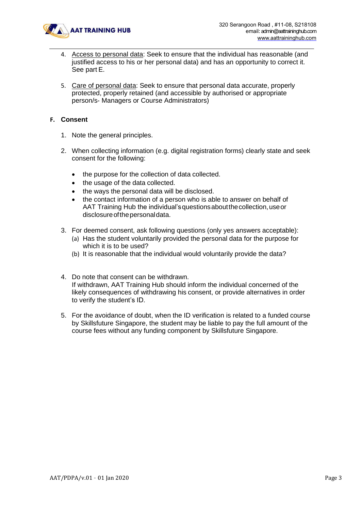

- 4. Access to personal data: Seek to ensure that the individual has reasonable (and justified access to his or her personal data) and has an opportunity to correct it. See part E.
- 5. Care of personal data: Seek to ensure that personal data accurate, properly protected, properly retained (and accessible by authorised or appropriate person/s- Managers or Course Administrators)

#### **F. Consent**

- 1. Note the general principles.
- 2. When collecting information (e.g. digital registration forms) clearly state and seek consent for the following:
	- the purpose for the collection of data collected.
	- the usage of the data collected.
	- the ways the personal data will be disclosed.
	- the contact information of a person who is able to answer on behalf of AAT Training Hub the individual's questions about the collection, use or disclosure of the personal data.
- 3. For deemed consent, ask following questions (only yes answers acceptable):
	- (a) Has the student voluntarily provided the personal data for the purpose for which it is to be used?
	- (b) It is reasonable that the individual would voluntarily provide the data?
- 4. Do note that consent can be withdrawn. If withdrawn, AAT Training Hub should inform the individual concerned of the likely consequences of withdrawing his consent, or provide alternatives in order to verify the student's ID.
- 5. For the avoidance of doubt, when the ID verification is related to a funded course by Skillsfuture Singapore, the student may be liable to pay the full amount of the course fees without any funding component by Skillsfuture Singapore.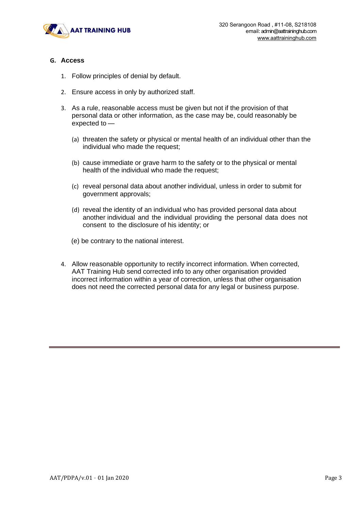

#### **G. Access**

- 1. Follow principles of denial by default.
- 2. Ensure access in only by authorized staff.
- 3. As a rule, reasonable access must be given but not if the provision of that personal data or other information, as the case may be, could reasonably be expected to —
	- (a) threaten the safety or physical or mental health of an individual other than the individual who made the request;
	- (b) cause immediate or grave harm to the safety or to the physical or mental health of the individual who made the request;
	- (c) reveal personal data about another individual, unless in order to submit for government approvals;
	- (d) reveal the identity of an individual who has provided personal data about another individual and the individual providing the personal data does not consent to the disclosure of his identity; or
	- (e) be contrary to the national interest.
- 4. Allow reasonable opportunity to rectify incorrect information. When corrected, AAT Training Hub send corrected info to any other organisation provided incorrect information within a year of correction, unless that other organisation does not need the corrected personal data for any legal or business purpose.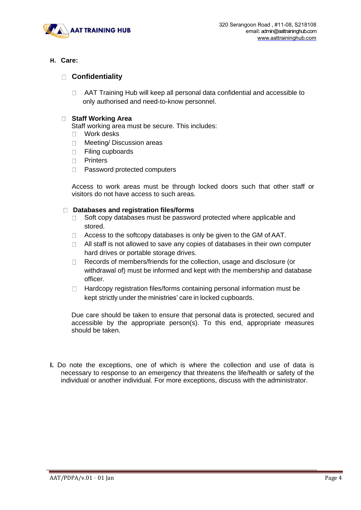

# **H. Care:**

# **Confidentiality**

AAT Training Hub will keep all personal data confidential and accessible to  $\Box$ only authorised and need-to-know personnel.

## **Staff Working Area**

- Staff working area must be secure. This includes:
- Work desks
- □ Meeting/ Discussion areas
- □ Filing cupboards
- Printers
- □ Password protected computers

Access to work areas must be through locked doors such that other staff or visitors do not have access to such areas.

#### **Databases and registration files/forms**

- $\Box$  Soft copy databases must be password protected where applicable and stored.
- $\Box$  Access to the softcopy databases is only be given to the GM of AAT.
- $\Box$  All staff is not allowed to save any copies of databases in their own computer hard drives or portable storage drives.
- □ Records of members/friends for the collection, usage and disclosure (or withdrawal of) must be informed and kept with the membership and database officer.
- $\Box$  Hardcopy registration files/forms containing personal information must be kept strictly under the ministries' care in locked cupboards.

Due care should be taken to ensure that personal data is protected, secured and accessible by the appropriate person(s). To this end, appropriate measures should be taken.

**I.** Do note the exceptions, one of which is where the collection and use of data is necessary to response to an emergency that threatens the life/health or safety of the individual or another individual. For more exceptions, discuss with the administrator.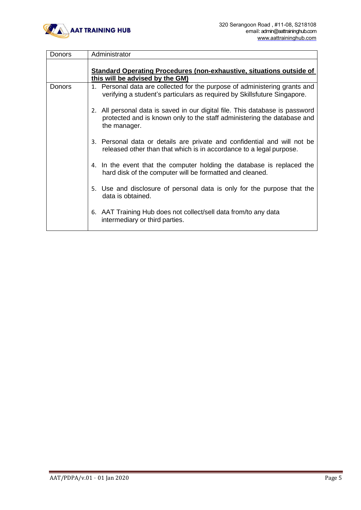

| <b>Donors</b> | Administrator                                                                                                                                                           |
|---------------|-------------------------------------------------------------------------------------------------------------------------------------------------------------------------|
|               | Standard Operating Procedures (non-exhaustive, situations outside of<br>this will be advised by the GM)                                                                 |
| <b>Donors</b> | 1. Personal data are collected for the purpose of administering grants and<br>verifying a student's particulars as required by Skillsfuture Singapore.                  |
|               | 2. All personal data is saved in our digital file. This database is password<br>protected and is known only to the staff administering the database and<br>the manager. |
|               | 3. Personal data or details are private and confidential and will not be<br>released other than that which is in accordance to a legal purpose.                         |
|               | 4. In the event that the computer holding the database is replaced the<br>hard disk of the computer will be formatted and cleaned.                                      |
|               | 5. Use and disclosure of personal data is only for the purpose that the<br>data is obtained.                                                                            |
|               | 6. AAT Training Hub does not collect/sell data from/to any data<br>intermediary or third parties.                                                                       |